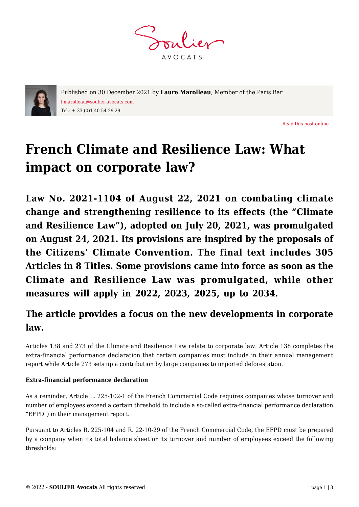**AVOCATS** 



Published on 30 December 2021 by **[Laure Marolleau](https://www.soulier-avocats.com/en/equipe/laure-marolleau-en/)**, Member of the Paris Bar l.marolleau@soulier-avocats.com Tel.: + 33 (0)1 40 54 29 29

[Read this post online](https://www.soulier-avocats.com/en/french-climate-and-resilience-law-what-impact-on-corporate-law/)

## **French Climate and Resilience Law: What impact on corporate law?**

**Law No. 2021-1104 of August 22, 2021 on combating climate change and strengthening resilience to its effects (the "Climate and Resilience Law"), adopted on July 20, 2021, was promulgated on August 24, 2021. Its provisions are inspired by the proposals of the Citizens' Climate Convention. The final text includes 305 Articles in 8 Titles. Some provisions came into force as soon as the Climate and Resilience Law was promulgated, while other measures will apply in 2022, 2023, 2025, up to 2034.**

## **The article provides a focus on the new developments in corporate law.**

Articles 138 and 273 of the Climate and Resilience Law relate to corporate law: Article 138 completes the extra-financial performance declaration that certain companies must include in their annual management report while Article 273 sets up a contribution by large companies to imported deforestation.

## **Extra-financial performance declaration**

As a reminder, Article L. 225-102-1 of the French Commercial Code requires companies whose turnover and number of employees exceed a certain threshold to include a so-called extra-financial performance declaration "EFPD") in their management report.

Pursuant to Articles R. 225-104 and R. 22-10-29 of the French Commercial Code, the EFPD must be prepared by a company when its total balance sheet or its turnover and number of employees exceed the following thresholds: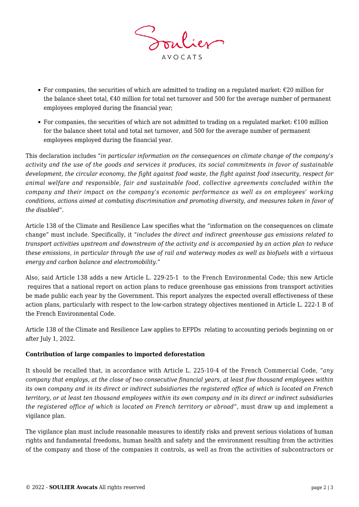

- For companies, the securities of which are admitted to trading on a regulated market:  $\epsilon$ 20 million for the balance sheet total,  $\epsilon$ 40 million for total net turnover and 500 for the average number of permanent employees employed during the financial year;
- For companies, the securities of which are not admitted to trading on a regulated market:  $\epsilon$ 100 million for the balance sheet total and total net turnover, and 500 for the average number of permanent employees employed during the financial year.

This declaration includes "*in particular information on the consequences on climate change of the company's activity and the use of the goods and services it produces, its social commitments in favor of sustainable development, the circular economy, the fight against food waste, the fight against food insecurity, respect for animal welfare and responsible, fair and sustainable food, collective agreements concluded within the company and their impact on the company's economic performance as well as on employees' working conditions, actions aimed at combating discrimination and promoting diversity, and measures taken in favor of the disabled*".

Article 138 of the Climate and Resilience Law specifies what the "information on the consequences on climate change" must include. Specifically, it "*includes the direct and indirect greenhouse gas emissions related to transport activities upstream and downstream of the activity and is accompanied by an action plan to reduce these emissions, in particular through the use of rail and waterway modes as well as biofuels with a virtuous energy and carbon balance and electromobility*."

Also, said Article 138 adds a new Article L. 229-25-1 to the French Environmental Code; this new Article requires that a national report on action plans to reduce greenhouse gas emissions from transport activities be made public each year by the Government. This report analyzes the expected overall effectiveness of these action plans, particularly with respect to the low-carbon strategy objectives mentioned in Article L. 222-1 B of the French Environmental Code.

Article 138 of the Climate and Resilience Law applies to EFPDs relating to accounting periods beginning on or after July 1, 2022.

## **Contribution of large companies to imported deforestation**

It should be recalled that, in accordance with Article L. 225-10-4 of the French Commercial Code, "*any company that employs, at the close of two consecutive financial years, at least five thousand employees within its own company and in its direct or indirect subsidiaries the registered office of which is located on French territory, or at least ten thousand employees within its own company and in its direct or indirect subsidiaries the registered office of which is located on French territory or abroad*", must draw up and implement a vigilance plan.

The vigilance plan must include reasonable measures to identify risks and prevent serious violations of human rights and fundamental freedoms, human health and safety and the environment resulting from the activities of the company and those of the companies it controls, as well as from the activities of subcontractors or